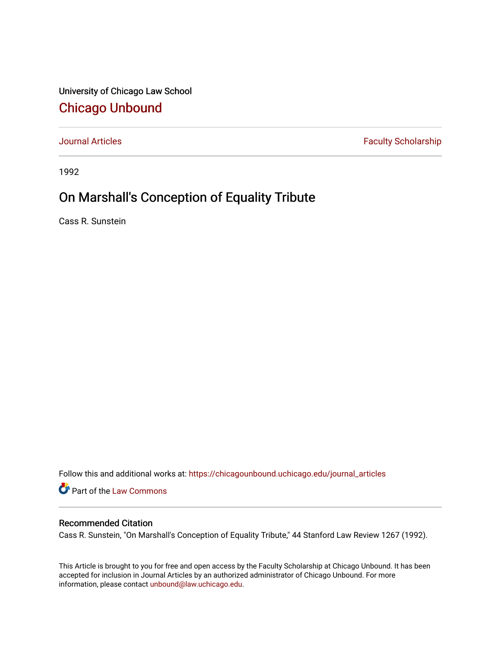University of Chicago Law School [Chicago Unbound](https://chicagounbound.uchicago.edu/)

[Journal Articles](https://chicagounbound.uchicago.edu/journal_articles) **Faculty Scholarship Faculty Scholarship** 

1992

## On Marshall's Conception of Equality Tribute

Cass R. Sunstein

Follow this and additional works at: [https://chicagounbound.uchicago.edu/journal\\_articles](https://chicagounbound.uchicago.edu/journal_articles?utm_source=chicagounbound.uchicago.edu%2Fjournal_articles%2F8485&utm_medium=PDF&utm_campaign=PDFCoverPages) 

Part of the [Law Commons](http://network.bepress.com/hgg/discipline/578?utm_source=chicagounbound.uchicago.edu%2Fjournal_articles%2F8485&utm_medium=PDF&utm_campaign=PDFCoverPages)

## Recommended Citation

Cass R. Sunstein, "On Marshall's Conception of Equality Tribute," 44 Stanford Law Review 1267 (1992).

This Article is brought to you for free and open access by the Faculty Scholarship at Chicago Unbound. It has been accepted for inclusion in Journal Articles by an authorized administrator of Chicago Unbound. For more information, please contact [unbound@law.uchicago.edu](mailto:unbound@law.uchicago.edu).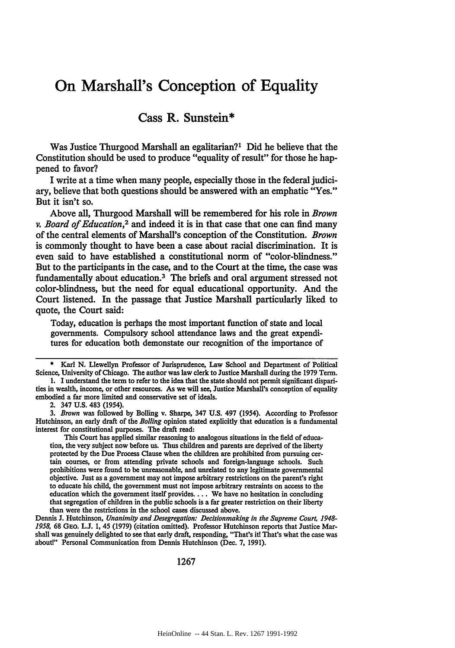## **On Marshall's Conception of Equality**

## Cass R. Sunstein\*

Was Justice Thurgood Marshall an egalitarian?<sup>1</sup> Did he believe that the Constitution should be used to produce "equality of result" for those he happened to favor?

I write at a time when many people, especially those in the federal judiciary, believe that both questions should be answered with an emphatic "Yes." But it isn't so.

Above all, Thurgood Marshall will be remembered for his role in *Brown v. Board of Education,2* and indeed it is in that case that one can find many of the central elements of Marshall's conception of the Constitution. *Brown* is commonly thought to have been a case about racial discrimination. It is even said to have established a constitutional norm of "color-blindness." But to the participants in the case, and to the Court at the time, the case was fundamentally about education.3 The briefs and oral argument stressed not color-blindness, but the need for equal educational opportunity. And the Court listened. In the passage that Justice Marshall particularly **liked** to quote, the Court said:

Today, education is perhaps the most important function of state and local governments. Compulsory school attendance laws and the great expenditures for education both demonstate our recognition of the importance of

2. 347 **U.S.** 483 (1954).

*3. Brown* was followed **by** Boiling v. Sharpe, 347 **U.S.** 497 (1954). According to Professor Hutchinson, an early draft of the *Boiling* opinion stated explicitly that education is a fundamental interest for constitutional purposes. The draft read:

This Court has applied similar reasoning to analogous situations in the field of education, the very subject now before us. Thus children and parents are deprived of the liberty protected by the Due Process Clause when the children are prohibited from pursuing certain courses, or from attending private schools and foreign-language schools. Such prohibitions were found to be unreasonable, and unrelated to any legitimate governmental objective. Just as a government may not impose arbitrary restrictions on the parent's right to educate his child, the government must not impose arbitrary restraints on access to the education which the government itself provides.... We have no hesitation in concluding that segregation of children in the public schools is a far greater restriction on their liberty than were the restrictions in the school cases discussed above.

Dennis J. Hutchinson, *Unanimity and Desegregation: Decisionmaking in the Supreme Court, 1948- 1958,* 68 GEo. L.J. **1,** 45 (1979) (citation omitted). Professor Hutchinson reports that Justice Marshall was genuinely delighted to see that early draft, responding, "That's it! That's what the case was aboutl" Personal Communication from Dennis Hutchinson (Dec. 7, 1991).

**<sup>\*</sup>** Karl **N.** Llewellyn Professor of Jurisprudence, Law School and Department of Political Science, University of Chicago. **The** author was law clerk to Justice Marshall during the **1979** Term. **1. I** understand the term to refer to the idea that the state should not permit significant dispari-

ties in wealth, income, or other resources. As we will see, Justice Marshall's conception of equality embodied a far more limited and conservative set of ideals.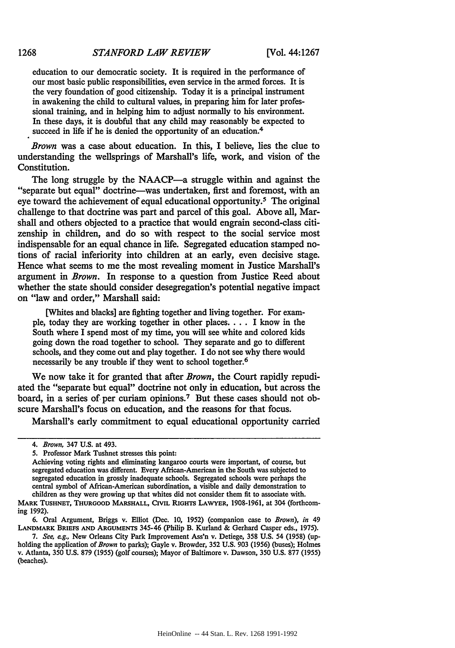education to our democratic society. It is required in the performance of our most basic public responsibilities, even service in the armed forces. It is the very foundation of good citizenship. Today it is a principal instrument in awakening the child to cultural values, in preparing him for later professional training, and in helping him to adjust normally to his environment. In these days, it is doubful that any child may reasonably be expected to succeed in life if he is denied the opportunity of an education.<sup>4</sup>

*Brown* was a case about education. In this, I believe, lies the clue to understanding the wellsprings of Marshall's life, work, and vision of the Constitution.

The long struggle by the NAACP-a struggle within and against the "separate but equal" doctrine-was undertaken, first and foremost, with an eye toward the achievement of equal educational opportunity.5 The original challenge to that doctrine was part and parcel of this goal. Above all, Marshall and others objected to a practice that would engrain second-class citizenship in children, and do so with respect to the social service most indispensable for an equal chance in life. Segregated education stamped notions of racial inferiority into children at an early, even decisive stage. Hence what seems to me the most revealing moment in Justice Marshall's argument in *Brown.* In response to a question from Justice Reed about whether the state should consider desegregation's potential negative impact on "law and order," Marshall said:

[Whites and blacks] are fighting together and living together. For example, today they are working together in other places.... I know in the South where I spend most of my time, you will see white and colored kids going down the road together to school. They separate and go to different schools, and they come out and play together. I do not see why there would necessarily be any trouble if they went to school together. <sup>6</sup>

We now take it for granted that after *Brown,* the Court rapidly repudiated the "separate but equal" doctrine not only in education, but across the board, in a series of per curiam opinions.7 But these cases should not obscure Marshall's focus on education, and the reasons for that focus.

Marshall's early commitment to equal educational opportunity carried

*<sup>4.</sup> Brown,* 347 U.S. at 493.

**<sup>5.</sup>** Professor Mark Tushnet stresses this point:

Achieving voting rights and eliminating kangaroo courts were important, of course, but segregated education was different. Every African-American in the South was subjected to segregated education in grossly inadequate schools. Segregated schools were perhaps the central symbol of African-American subordination, a visible and daily demonstration to children as they were growing up that whites did not consider them fit to associate with. MARK **TUSHNET,** THURGOOD MARSHALL, CIVIL RIGHTS LAWYER, **1908-1961,** at 304 (forthcoming **1992).**

**<sup>6.</sup>** Oral Argument, Briggs v. Elliot (Dec. **10, 1952)** (companion case to *Brown), in* 49 LANDMARK BRIEFS **AND** ARGUMENTS 345-46 (Philip B. Kurland & Gerhard Casper eds., **1975).**

*<sup>7.</sup> See, e.g.,* New Orleans City Park Improvement Ass'n v. Detiege, **358 U.S.** 54 **(1958)** (upholding the application *of Brown* to parks); Gayle v. Browder, **352 U.S. 903 (1956)** (buses); Holmes v. Atlanta, **350 U.S. 879 (1955)** (golf courses); Mayor of Baltimore v. Dawson, **350 U.S.** 877 **(1955)** (beaches).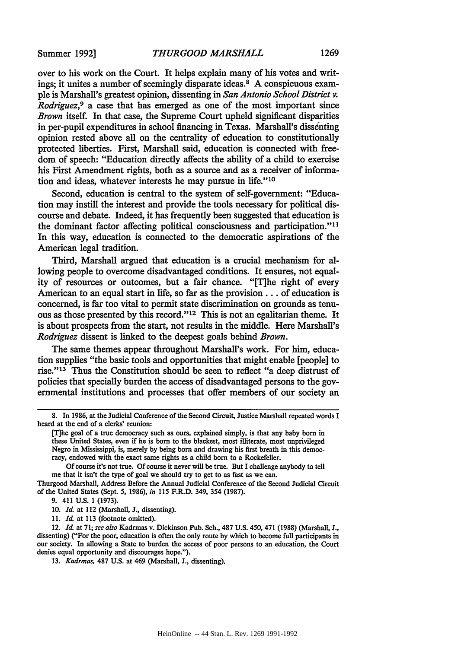over to his work on the Court. It helps explain many of his votes and writings; it unites a number of seemingly disparate ideas.8 A conspicuous example is Marshall's greatest opinion, dissenting in *San Antonio School District v. Rodriguez,9* a case that has emerged as one of the most important since *Brown* itself. In that case, the Supreme Court upheld significant disparities in per-pupil expenditures in school financing in Texas. Marshall's dissenting opinion rested above all on the centrality of education to constitutionally protected liberties. First, Marshall said, education is connected with freedom of speech: "Education directly affects the ability of a child to exercise his First Amendment rights, both as a source and as a receiver of information and ideas, whatever interests he may pursue in life."<sup>10</sup>

Second, education is central to the system of self-government: "Education may instill the interest and provide the tools necessary for political discourse and debate. Indeed, it has frequently been suggested that education is the dominant factor affecting political consciousness and participation."<sup>11</sup> In this way, education is connected to the democratic aspirations of the American legal tradition.

Third, Marshall argued that education is a crucial mechanism for allowing people to overcome disadvantaged conditions. It ensures, not equality of resources or outcomes, but a fair chance. "[T]he right of every American to an equal start in life, so far as the provision.., of education is concerned, is far too vital to permit state discrimination on grounds as tenuous as those presented by this record."<sup>12</sup> This is not an egalitarian theme. It is about prospects from the start, not results in the middle. Here Marshall's *Rodriguez* dissent is linked to the deepest goals behind *Brown.*

The same themes appear throughout Marshall's work. For him, education supplies "the basic tools and opportunities that might enable [people] to rise."'13 Thus the Constitution should be seen to reflect "a deep distrust of policies that specially burden the access of disadvantaged persons to the governmental institutions and processes that offer members of our society an

9. 411 U.S. 1 (1973).

13. *Kadrmas,* 487 U.S. at 469 (Marshall, **J.,** dissenting).

<sup>8.</sup> In 1986, at the Judicial Conference of the Second Circuit, Justice Marshall repeated words I heard at the end of a clerks' reunion:

<sup>[</sup>Tihe goal of a true democracy such as ours, explained simply, is that any baby born in these United States, even if he is born to the blackest, most illiterate, most unprivileged Negro in Mississippi, is, merely by being born and drawing his first breath in this democracy, endowed with the exact same rights as a child born to a Rockefeller.

Of course it's not true. Of course it never will be true. But I challenge anybody to tell me that it isn't the type of goal we should try to get to as fast as we can.

Thurgood Marshall, Address Before the Annual Judicial Conference of the Second Judicial Circuit of the United States (Sept. 5, 1986), *in* 115 F.R.D. 349, 354 (1987).

<sup>10.</sup> *Id.* at 112 (Marshall, **J.,** dissenting).

<sup>11.</sup> *Id.* at 113 (footnote omitted).

<sup>12.</sup> *Id* at 71; *see also* Kadrmas v. Dickinson Pub. Sch., 487 U.S. 450, 471 (1988) (Marshall, J., dissenting) ("For the poor, education is often the only route by which to become full participants in our society. In allowing a State to burden the access of poor persons to an education, the Court denies equal opportunity and discourages hope.").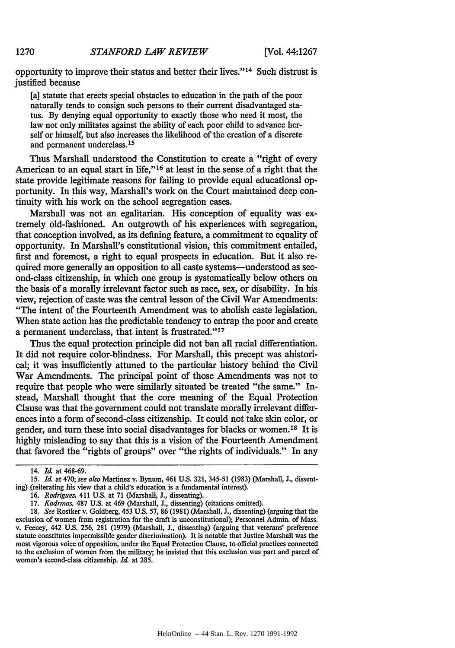opportunity to improve their status and better their lives."<sup>14</sup> Such distrust is justified because

[a] statute that erects special obstacles to education in the path of the poor naturally tends to consign such persons to their current disadvantaged status. By denying equal opportunity to exactly those who need it most, the law not only militates against the ability of each poor child to advance herself or himself, but also increases the likelihood of the creation of a discrete and permanent underclass.<sup>15</sup>

Thus Marshall understood the Constitution to create a "right of every American to an equal start in life,"<sup>16</sup> at least in the sense of a right that the state provide legitimate reasons for failing to provide equal educational opportunity. In this way, Marshall's work on the Court maintained deep continuity with his work on the school segregation cases.

Marshall was not an egalitarian. His conception of equality was extremely old-fashioned. An outgrowth of his experiences with segregation, that conception involved, as its defining feature, a commitment to equality of opportunity. In Marshall's constitutional vision, this commitment entailed, first and foremost, a right to equal prospects in education. But it also required more generally an opposition to all caste systems-understood as second-class citizenship, in which one group is systematically below others on the basis of a morally irrelevant factor such as race, sex, or disability. In his view, rejection of caste was the central lesson of the Civil War Amendments: "The intent of the Fourteenth Amendment was to abolish caste legislation. When state action has the predictable tendency to entrap the poor and create a permanent underclass, that intent is frustrated."<sup>17</sup>

Thus the equal protection principle did not ban all racial differentiation. It did not require color-blindness. For Marshall, this precept was ahistorical; it was insufficiently attuned to the particular history behind the Civil War Amendments. The principal point of those Amendments was not to require that people who were similarly situated be treated "the same." Instead, Marshall thought that the core meaning of the Equal Protection Clause was that the government could not translate morally irrelevant differences into a form of second-class citizenship. It could not take skin color, or gender, and turn these into social disadvantages for blacks or women.<sup>18</sup> It is highly misleading to say that this is a vision of the Fourteenth Amendment that favored the "rights of groups" over "the rights of individuals." In any

<sup>14.</sup> *Id.* at 468-69.

*<sup>15.</sup> Id.* at 470; see also Martinez v. Bynum, 461 U.S. 321, 345-51 (1983) (Marshall, J., dissenting) (reiterating his view that a child's education is a fundamental interest).

<sup>16.</sup> *Rodriguez,* 411 U.S. at 71 (Marshall, J., dissenting).

<sup>17.</sup> *Kadrmas,* 487 U.S. at 469 (Marshall, J., dissenting) (citations omitted).

<sup>18.</sup> *See* Rostker v. Goldberg, 453 U.S. 57, 86 (1981) (Marshall, J., dissenting) (arguing that the exclusion of women from registration for the draft is unconstitutional); Personnel Admin. of Mass. v. Feeney, 442 U.S. 256, 281 (1979) (Marshall, J., dissenting) (arguing that veterans' preference statute constitutes impermissible gender discrimination). It is notable that Justice Marshall was the most vigorous voice of opposition, under the Equal Protection Clause, to official practices connected to the exclusion of women from the military; he insisted that this exclusion was part and parcel of women's second-class citizenship. *Id.* at 285.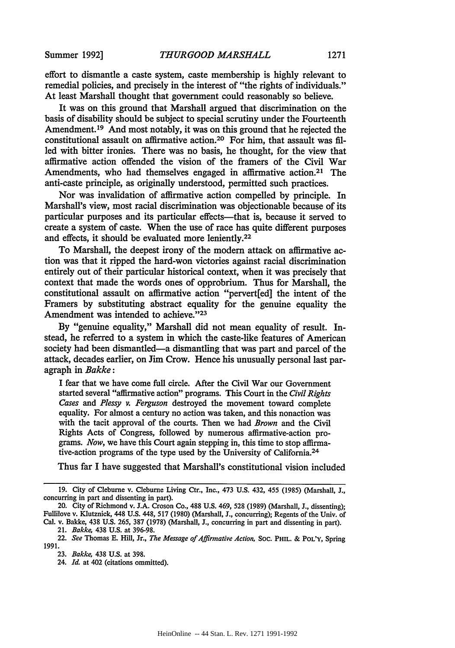effort to dismantle a caste system, caste membership is highly relevant to remedial policies, and precisely in the interest of "the rights of individuals." At least Marshall thought that government could reasonably so believe.

It was on this ground that Marshall argued that discrimination on the basis of disability should be subject to special scrutiny under the Fourteenth Amendment.<sup>19</sup> And most notably, it was on this ground that he rejected the constitutional assault on affirmative action.20 For him, that assault was **fil**led with bitter ironies. There was no basis, he thought, for the view that affirmative action offended the vision of the framers of the Civil War Amendments, who had themselves engaged in affirmative action.<sup>21</sup> The anti-caste principle, as originally understood, permitted such practices.

Nor was invalidation of affirmative action compelled by principle. In Marshall's view, most racial discrimination was objectionable because of its particular purposes and its particular effects-that is, because it served to create a system of caste. When the use of race has quite different purposes and effects, it should be evaluated more leniently.<sup>22</sup>

To Marshall, the deepest irony of the modem attack on affirmative action was that it ripped the hard-won victories against racial discrimination entirely out of their particular historical context, when it was precisely that context that made the words ones of opprobrium. Thus for Marshall, the constitutional assault on affirmative action "pervert[ed] the intent of the Framers by substituting abstract equality for the genuine equality the Amendment was intended to achieve."<sup>23</sup>

By "genuine equality," Marshall did not mean equality of result. Instead, he referred to a system in which the caste-like features of American society had been dismantled-a dismantling that was part and parcel of the attack, decades earlier, on Jim Crow. Hence his unusually personal last paragraph in *Bakke:*

I fear that we have come full circle. After the Civil War our Government started several "affirmative action" programs. This Court in the *Civil Rights Cases and Plessy v. Ferguson* destroyed the movement toward complete equality. For almost a century no action was taken, and this nonaction was with the tacit approval of the courts. Then we had *Brown* and the Civil Rights Acts of Congress, followed by numerous affirmative-action programs. *Now,* we have this Court again stepping in, this time to stop affirmative-action programs of the type used by the University of California.<sup>24</sup>

Thus far I have suggested that Marshall's constitutional vision included

<sup>19.</sup> City of Cleburne v. Cleburne Living Ctr., Inc., 473 U.S. 432, 455 (1985) (Marshall, J., concurring in part and dissenting in part).

<sup>20.</sup> City of Richmond v. J.A. Croson Co., 488 U.S. 469, 528 (1989) (Marshall, J., dissenting); Fullilove v. Klutznick, 448 U.S. 448, 517 (1980) (Marshall, **J.,** concurring); Regents of the Univ. of Cal. v. Bakke, 438 U.S. 265, **387 (1978)** (Marshall, J., concurring in part and dissenting in part).

<sup>21.</sup> *Bakke,* 438 U.S. at 396-98.

<sup>22.</sup> *See* Thomas E. Hill, Jr., *The Message of Affirmative Action,* Soc. PHIL. & PoL'Y, Spring **1991.**

<sup>23.</sup> *Bakke,* 438 U.S. at 398.

<sup>24.</sup> *Id.* at 402 (citations ommitted).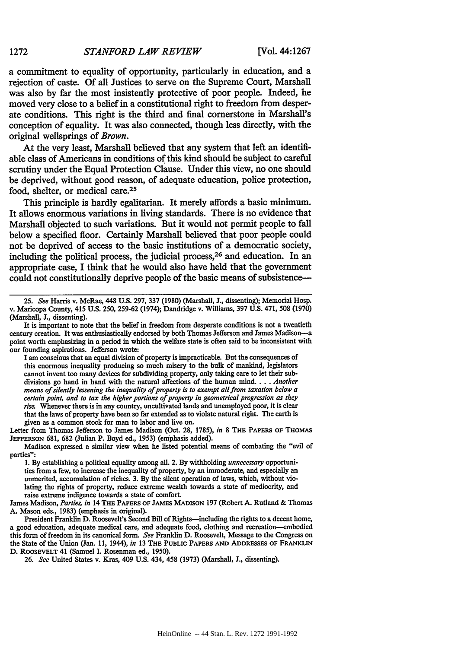a commitment to equality of opportunity, particularly in education, and a rejection of caste. **Of** all Justices to serve on the Supreme Court, Marshall was also **by** far the most insistently protective of poor people. Indeed, he moved very close to a belief in a constitutional right to freedom from desperate conditions. This right is the third and final cornerstone **in** Marshall's conception of equality. It was also connected, though less directly, with the original wellsprings of *Brown.*

At the very least, Marshall believed that any system that left an identifiable class of Americans in conditions of this kind should be subject to careful scrutiny under the Equal Protection Clause. Under this view, no one should be deprived, without good reason, of adequate education, police protection, food, shelter, or medical care.<sup>25</sup>

This principle is hardly egalitarian. It merely affords a basic minimum. It allows enormous variations in living standards. There is no evidence that Marshall objected to such variations. But it would not permit people to fall below a specified floor. Certainly Marshall believed that poor people could not be deprived of access to the basic institutions of a democratic society, including the political process, the judicial process, 26 and education. In an appropriate case, I think that he would also have held that the government could not constitutionally deprive people of the basic means of subsistence—

I am conscious that an equal division of property is impracticable. But the consequences of this enormous inequality producing so much misery to the bulk of mankind, legislators cannot invent too many devices for subdividing property, only taking care to let their subdivisions go hand in hand with the natural affections of the human mind.... *Another means of silently lessening the inequality of property is to exempt all from taxation below a certain point, and to tax the higher portions of property in geometrical progression as they rise.* Whenever there is in any country, uncultivated lands and unemployed poor, it is clear that the laws of property have been so far extended as to violate natural right. The earth is given as a common stock for man to labor and live on.

Letter from Thomas Jefferson to James Madison (Oct. 28, 1785), *in* 8 THE PAPERS OF THOMAS JEFFERSON 681, 682 (Julian P. Boyd ed., 1953) (emphasis added).

James Madison, *Parties, in* 14 THE PAPERS OF **JAMES** MADISON **197** (Robert A. Rutland & Thomas A. Mason eds., 1983) (emphasis in original).

26. *See* United States v. Kras, 409 U.S. 434, 458 (1973) (Marshall, J., dissenting).

<sup>25.</sup> *See* Harris v. McRae, 448 **U.S. 297, 337 (1980)** (Marshall, **J.,** dissenting); Memorial Hosp. v. Maricopa County, 415 **U.S.** 250, 259-62 (1974); Dandridge v. Williams, 397 **U.S.** 471, 508 (1970) (Marshall, **J.,** dissenting).

It is important to note that the belief in freedom from desperate conditions is not a twentieth century creation. It was enthusiastically endorsed **by** both Thomas Jefferson and James Madison-a point worth emphasizing in a period in which the welfare state is often said to be inconsistent with our founding aspirations. Jefferson wrote:

Madison expressed a similar view when he listed potential means of combating the "evil of parties":

<sup>1.</sup> By establishing a political equality among all. 2. By withholding *unnecessary* opportunities from a few, to increase the inequality of property, by an immoderate, and especially an unmerited, accumulation of riches. 3. By the silent operation of laws, which, without violating the rights of property, reduce extreme wealth towards a state of mediocrity, and raise extreme indigence towards a state of comfort.

President Franklin D. Roosevelt's Second Bill of Rights-including the rights to a decent home, a good education, adequate medical care, and adequate food, clothing and recreation-embodied this form of freedom in its canonical form. *See* Franklin D. Roosevelt, Message to the Congress on the State of the Union (Jan. 11, 1944), *in* 13 THE PUBLIC PAPERS **AND ADDRESSES OF** FRANKLIN D. ROOSEVELT 41 (Samuel I. Rosenman ed., 1950).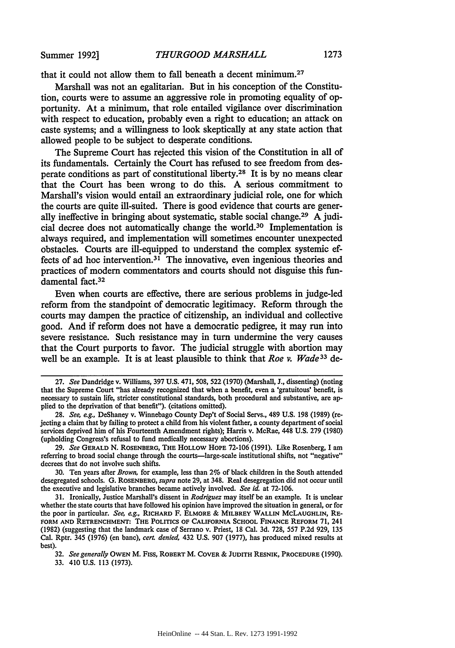that it could not allow them to fall beneath a decent minimum.<sup>27</sup>

Marshall was not an egalitarian. But in his conception of the Constitution, courts were to assume an aggressive role in promoting equality of opportunity. At a minimum, that role entailed vigilance over discrimination with respect to education, probably even a right to education; an attack on caste systems; and a willingness to look skeptically at any state action that allowed people to be subject to desperate conditions.

The Supreme Court has rejected this vision of the Constitution in all of its fundamentals. Certainly the Court has refused to see freedom from desperate conditions as part of constitutional liberty.<sup>28</sup> It is by no means clear that the Court has been wrong to do this. A serious commitment to Marshall's vision would entail an extraordinary judicial role, one for which the courts are quite ill-suited. There is good evidence that courts are generally ineffective in bringing about systematic, stable social change.<sup>29</sup> A judicial decree does not automatically change the world.30 Implementation is always required, and implementation will sometimes encounter unexpected obstacles. Courts are ll-equipped to understand the complex systemic effects of ad hoc intervention.<sup>31</sup> The innovative, even ingenious theories and practices of modem commentators and courts should not disguise this fundamental fact.<sup>32</sup>

Even when courts are effective, there are serious problems in judge-led reform from the standpoint of democratic legitimacy. Reform through the courts may dampen the practice of citizenship, an individual and collective good. And if reform does not have a democratic pedigree, it may run into severe resistance. Such resistance may in turn undermine the very causes that the Court purports to favor. The judicial struggle with abortion may well be an example. It is at least plausible to think that *Roe v. Wade 33* de-

29. *See* **GERALD N. ROSENBERG, THE** HOLLOW HOPE 72-106 (1991). Like Rosenberg, I am referring to broad social change through the courts--large-scale institutional shifts, not "negative" decrees that do not involve such shifts.

30. Ten years after *Brown,* for example, less than 2% of black children in the South attended desegregated schools. **G.** ROSENBERG, *supra* note 29, at 348. Real desegregation did not occur until the executive and legislative branches became actively involved. *See id.* at 72-106.

31. Ironically, Justice Marshall's dissent in *Rodriguez* may itself be an example. It is unclear whether the state courts that have followed his opinion have improved the situation in general, or for the poor in particular. *See, eg.,* RICHARD F. ELMORE & MILBREY WALLIN MCLAUGHLIN, **RE-FORM AND RETRENCHMENT: THE POLITICS OF CALIFORNIA SCHOOL FINANCE REFORM 71,** 241 (1982) (suggesting that the landmark case of Serrano v. Priest, 18 Cal. **3d. 728,** 557 **P.2d 929, 135** Cal. Rptr. 345 (1976) (en banc), *cert denied,* 432 **U.S. 907 (1977),** has produced mixed results at best).

32. *See generally* **OWEN** M. FISS, **ROBERT** M. **COVER** & **JUDITH RESNIK, PROCEDURE** (1990).

**33.** 410 U.S. 113 (1973).

<sup>27.</sup> *See* Dandridge v. Williams, 397 U.S. 471, 508, 522 (1970) (Marshall, J., dissenting) (noting that the Supreme Court "has already recognized that when a benefit, even a 'gratuitous' benefit, is necessary to sustain life, stricter constitutional standards, both procedural and substantive, are applied to the deprivation of that benefit"). (citations omitted).

**<sup>28.</sup>** *See, eg.,* DeShaney v. Winnebago County Dep't of Social Servs., 489 U.S. 198 (1989) (rejecting a claim that by failing to protect a child from his violent father, a county department of social services deprived him of his Fourteenth Amendment rights); Harris v. McRae, 448 U.S. 279 (1980) (upholding Congress's refusal to fund medically necessary abortions).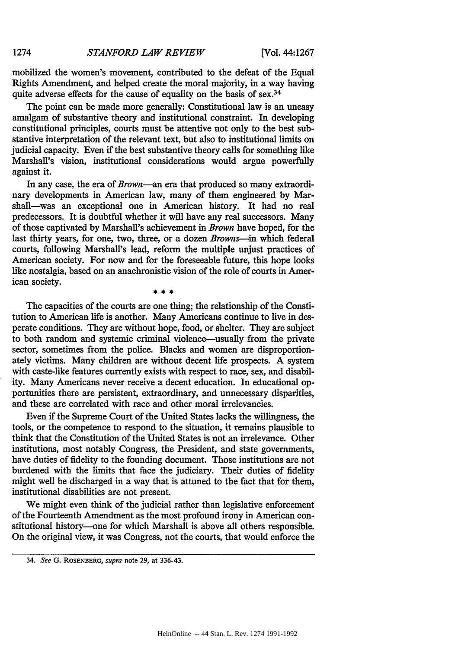mobilized the women's movement, contributed to the defeat of the Equal Rights Amendment, and helped create the moral majority, in a way having quite adverse effects for the cause of equality on the basis of sex.<sup>34</sup>

The point can be made more generally: Constitutional law is an uneasy amalgam of substantive theory and institutional constraint. In developing constitutional principles, courts must be attentive not only to the best substantive interpretation of the relevant text, but also to institutional limits on judicial capacity. Even if the best substantive theory calls for something like Marshall's vision, institutional considerations would argue powerfully against it.

In any case, the era of *Brown-an* era that produced so many extraordinary developments in American law, many of them engineered by Marshall-was an exceptional one in American history. It had no real predecessors. It is doubtful whether it will have any real successors. Many of those captivated by Marshall's achievement in *Brown* have hoped, for the last thirty years, for one, two, three, or a dozen *Browns*-in which federal courts, following Marshall's lead, reform the multiple unjust practices of American society. For now and for the foreseeable future, this hope looks like nostalgia, based on an anachronistic vision of the role of courts in American society.

The capacities of the courts are one thing; the relationship of the Constitution to American life is another. Many Americans continue to live in desperate conditions. They are without hope, food, or shelter. They are subject to both random and systemic criminal violence-usually from the private sector, sometimes from the police. Blacks and women are disproportionately victims. Many children are without decent life prospects. A system with caste-like features currently exists with respect to race, sex, and disability. Many Americans never receive a decent education. In educational opportunities there are persistent, extraordinary, and unnecessary disparities, and these are correlated with race and other moral irrelevancies.

Even if the Supreme Court of the United States lacks the willingness, the tools, or the competence to respond to the situation, it remains plausible to think that the Constitution of the United States is not an irrelevance. Other institutions, most notably Congress, the President, and state governments, have duties of fidelity to the founding document. Those institutions are not burdened with the limits that face the judiciary. Their duties of fidelity might well be discharged in a way that is attuned to the fact that for them, institutional disabilities are not present.

We might even think of the judicial rather than legislative enforcement of the Fourteenth Amendment as the most profound irony in American constitutional history-one for which Marshall is above all others responsible. On the original view, it was Congress, not the courts, that would enforce the

<sup>34.</sup> *See* **G. ROSENBERG,** *supra* note **29,** at **336-43.**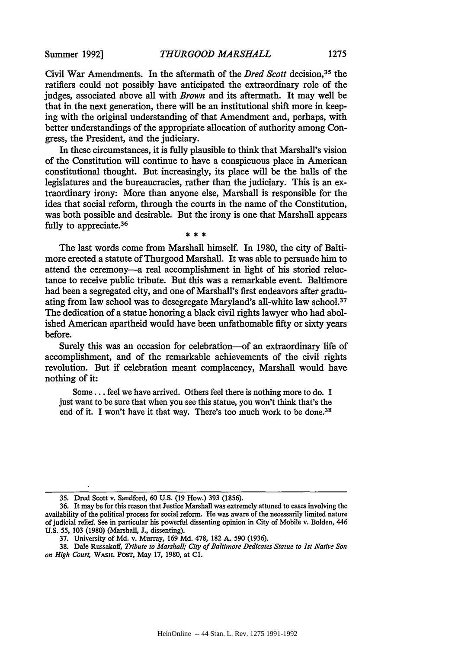Civil War Amendments. In the aftermath of the *Dred Scott* decision,35 the ratifiers could not possibly have anticipated the extraordinary role of the judges, associated above all with *Brown* and its aftermath. It may well be that in the next generation, there will be an institutional shift more in keeping with the original understanding of that Amendment and, perhaps, with better understandings of the appropriate allocation of authority among Congress, the President, and the judiciary.

In these circumstances, it is fully plausible to think that Marshall's vision of the Constitution will continue to have a conspicuous place in American constitutional thought. But increasingly, its place will be the halls of the legislatures and the bureaucracies, rather than the judiciary. This is an extraordinary irony: More than anyone else, Marshall is responsible for the idea that social reform, through the courts in the name of the Constitution, was both possible and desirable. But the irony is one that Marshall appears fully to appreciate.<sup>36</sup>

The last words come from Marshall himself. In 1980, the city of Baltimore erected a statute of Thurgood Marshall. It was able to persuade him to attend the ceremony-a real accomplishment in light of his storied reluctance to receive public tribute. But this was a remarkable event. Baltimore had been a segregated city, and one of Marshall's first endeavors after graduating from law school was to desegregate Maryland's all-white law school.<sup>37</sup> The dedication of a statue honoring a black civil rights lawyer who had abolished American apartheid would have been unfathomable fifty or sixty years before.

Surely this was an occasion for celebration-of an extraordinary life of accomplishment, and of the remarkable achievements of the civil rights revolution. But if celebration meant complacency, Marshall would have nothing of it:

Some... feel we have arrived. Others feel there is nothing more to do. I just want to be sure that when you see this statue, you won't think that's the end of it. I won't have it that way. There's too much work to be done.<sup>38</sup>

**<sup>35.</sup>** Dred Scott v. Sandford, 60 **U.S. (19** How.) **393** (1856).

<sup>36.</sup> It may be for this reason that Justice Marshall was extremely attuned to cases involving the availability of the political process for social reform. He was aware of the necessarily limited nature of judicial relief. See in particular his powerful dissenting opinion in City of Mobile v. Bolden, 446 U.S. 55, 103 (1980) (Marshall, J., dissenting).

<sup>37.</sup> University of Md. v. Murray, 169 Md. 478, 182 A. 590 (1936).

<sup>38.</sup> Dale Russakotf, *Tribute to Marshall; City of Baltimore Dedicates Statue to 1st Native Son on High Court,* WASH. PosT, May 17, 1980, at **Cl.**